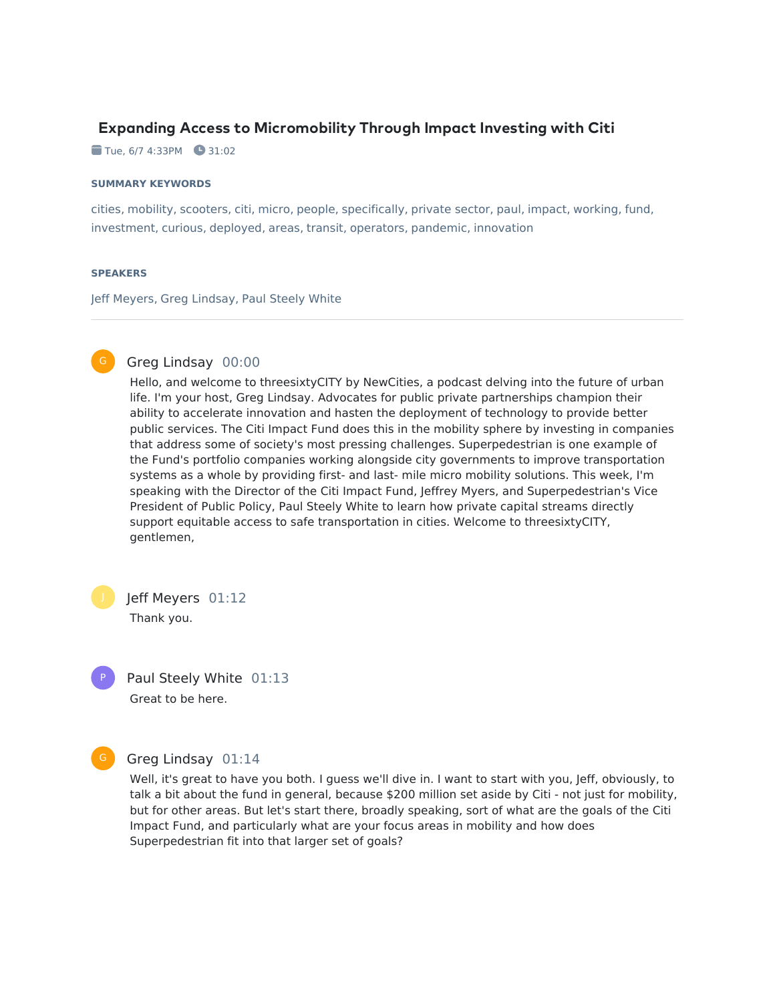# **Expanding Access to Micromobility Through Impact Investing with Citi**

 $\blacksquare$  Tue, 6/7 4:33PM  $\blacksquare$  31:02

#### **SUMMARY KEYWORDS**

cities, mobility, scooters, citi, micro, people, specifically, private sector, paul, impact, working, fund, investment, curious, deployed, areas, transit, operators, pandemic, innovation

#### **SPEAKERS**

Jeff Meyers, Greg Lindsay, Paul Steely White



# Greg Lindsay 00:00

Hello, and welcome to threesixtyCITY by NewCities, a podcast delving into the future of urban life. I'm your host, Greg Lindsay. Advocates for public private partnerships champion their ability to accelerate innovation and hasten the deployment of technology to provide better public services. The Citi Impact Fund does this in the mobility sphere by investing in companies that address some of society's most pressing challenges. Superpedestrian is one example of the Fund's portfolio companies working alongside city governments to improve transportation systems as a whole by providing first- and last- mile micro mobility solutions. This week, I'm speaking with the Director of the Citi Impact Fund, Jeffrey Myers, and Superpedestrian's Vice President of Public Policy, Paul Steely White to learn how private capital streams directly support equitable access to safe transportation in cities. Welcome to threesixtyCITY, gentlemen,

Jeff Meyers 01:12

P

Thank you.

Paul Steely White 01:13 Great to be here.

Greg Lindsay 01:14 G

> Well, it's great to have you both. I guess we'll dive in. I want to start with you, Jeff, obviously, to talk a bit about the fund in general, because \$200 million set aside by Citi - not just for mobility, but for other areas. But let's start there, broadly speaking, sort of what are the goals of the Citi Impact Fund, and particularly what are your focus areas in mobility and how does Superpedestrian fit into that larger set of goals?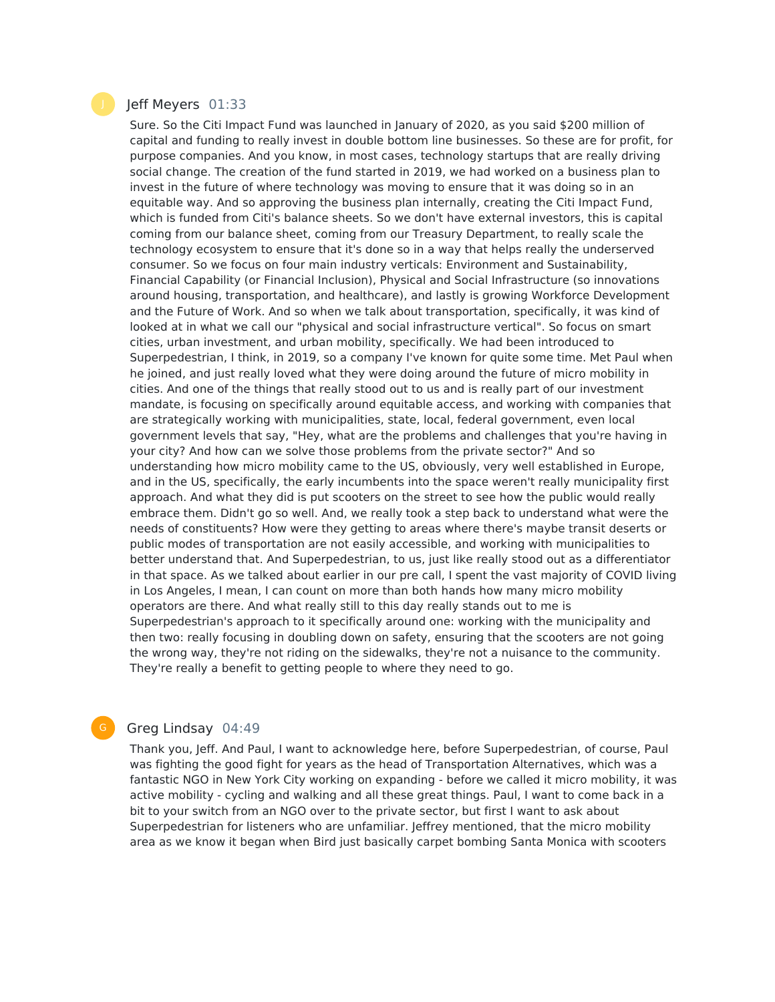# Jeff Meyers 01:33

Sure. So the Citi Impact Fund was launched in January of 2020, as you said \$200 million of capital and funding to really invest in double bottom line businesses. So these are for profit, for purpose companies. And you know, in most cases, technology startups that are really driving social change. The creation of the fund started in 2019, we had worked on a business plan to invest in the future of where technology was moving to ensure that it was doing so in an equitable way. And so approving the business plan internally, creating the Citi Impact Fund, which is funded from Citi's balance sheets. So we don't have external investors, this is capital coming from our balance sheet, coming from our Treasury Department, to really scale the technology ecosystem to ensure that it's done so in a way that helps really the underserved consumer. So we focus on four main industry verticals: Environment and Sustainability, Financial Capability (or Financial Inclusion), Physical and Social Infrastructure (so innovations around housing, transportation, and healthcare), and lastly is growing Workforce Development and the Future of Work. And so when we talk about transportation, specifically, it was kind of looked at in what we call our "physical and social infrastructure vertical". So focus on smart cities, urban investment, and urban mobility, specifically. We had been introduced to Superpedestrian, I think, in 2019, so a company I've known for quite some time. Met Paul when he joined, and just really loved what they were doing around the future of micro mobility in cities. And one of the things that really stood out to us and is really part of our investment mandate, is focusing on specifically around equitable access, and working with companies that are strategically working with municipalities, state, local, federal government, even local government levels that say, "Hey, what are the problems and challenges that you're having in your city? And how can we solve those problems from the private sector?" And so understanding how micro mobility came to the US, obviously, very well established in Europe, and in the US, specifically, the early incumbents into the space weren't really municipality first approach. And what they did is put scooters on the street to see how the public would really embrace them. Didn't go so well. And, we really took a step back to understand what were the needs of constituents? How were they getting to areas where there's maybe transit deserts or public modes of transportation are not easily accessible, and working with municipalities to better understand that. And Superpedestrian, to us, just like really stood out as a differentiator in that space. As we talked about earlier in our pre call, I spent the vast majority of COVID living in Los Angeles, I mean, I can count on more than both hands how many micro mobility operators are there. And what really still to this day really stands out to me is Superpedestrian's approach to it specifically around one: working with the municipality and then two: really focusing in doubling down on safety, ensuring that the scooters are not going the wrong way, they're not riding on the sidewalks, they're not a nuisance to the community. They're really a benefit to getting people to where they need to go.

#### Greg Lindsay 04:49

Thank you, Jeff. And Paul, I want to acknowledge here, before Superpedestrian, of course, Paul was fighting the good fight for years as the head of Transportation Alternatives, which was a fantastic NGO in New York City working on expanding - before we called it micro mobility, it was active mobility - cycling and walking and all these great things. Paul, I want to come back in a bit to your switch from an NGO over to the private sector, but first I want to ask about Superpedestrian for listeners who are unfamiliar. Jeffrey mentioned, that the micro mobility area as we know it began when Bird just basically carpet bombing Santa Monica with scooters

G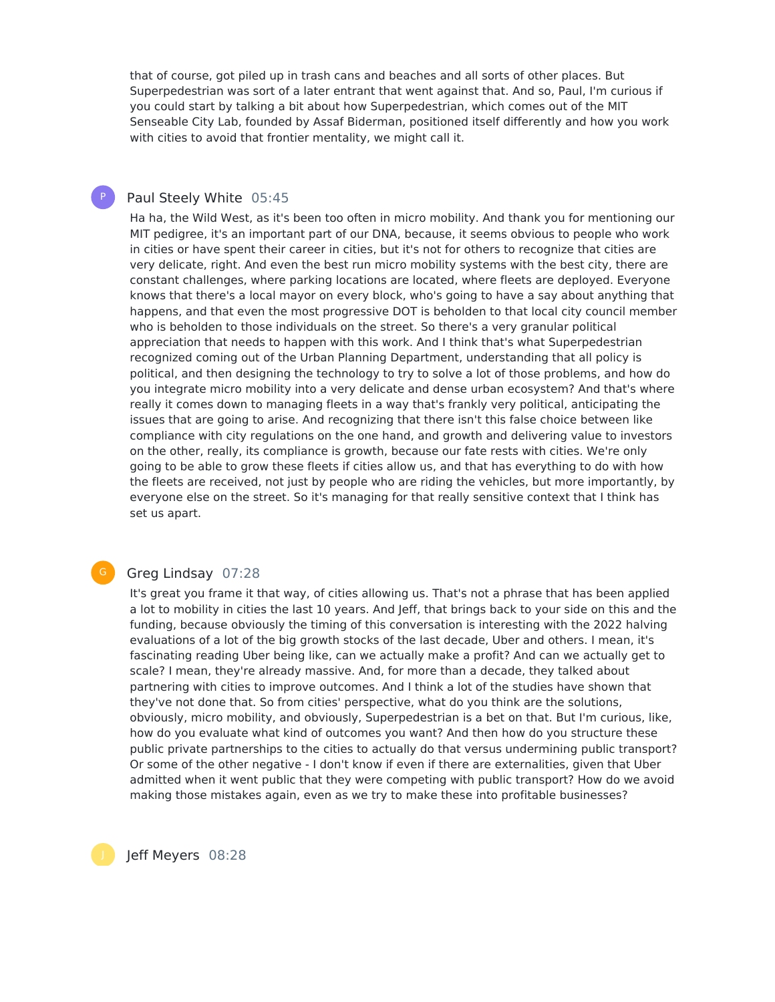that of course, got piled up in trash cans and beaches and all sorts of other places. But Superpedestrian was sort of a later entrant that went against that. And so, Paul, I'm curious if you could start by talking a bit about how Superpedestrian, which comes out of the MIT Senseable City Lab, founded by Assaf Biderman, positioned itself differently and how you work with cities to avoid that frontier mentality, we might call it.

### Paul Steely White 05:45

P

Ha ha, the Wild West, as it's been too often in micro mobility. And thank you for mentioning our MIT pedigree, it's an important part of our DNA, because, it seems obvious to people who work in cities or have spent their career in cities, but it's not for others to recognize that cities are very delicate, right. And even the best run micro mobility systems with the best city, there are constant challenges, where parking locations are located, where fleets are deployed. Everyone knows that there's a local mayor on every block, who's going to have a say about anything that happens, and that even the most progressive DOT is beholden to that local city council member who is beholden to those individuals on the street. So there's a very granular political appreciation that needs to happen with this work. And I think that's what Superpedestrian recognized coming out of the Urban Planning Department, understanding that all policy is political, and then designing the technology to try to solve a lot of those problems, and how do you integrate micro mobility into a very delicate and dense urban ecosystem? And that's where really it comes down to managing fleets in a way that's frankly very political, anticipating the issues that are going to arise. And recognizing that there isn't this false choice between like compliance with city regulations on the one hand, and growth and delivering value to investors on the other, really, its compliance is growth, because our fate rests with cities. We're only going to be able to grow these fleets if cities allow us, and that has everything to do with how the fleets are received, not just by people who are riding the vehicles, but more importantly, by everyone else on the street. So it's managing for that really sensitive context that I think has set us apart.

### Greg Lindsay 07:28

It's great you frame it that way, of cities allowing us. That's not a phrase that has been applied a lot to mobility in cities the last 10 years. And Jeff, that brings back to your side on this and the funding, because obviously the timing of this conversation is interesting with the 2022 halving evaluations of a lot of the big growth stocks of the last decade, Uber and others. I mean, it's fascinating reading Uber being like, can we actually make a profit? And can we actually get to scale? I mean, they're already massive. And, for more than a decade, they talked about partnering with cities to improve outcomes. And I think a lot of the studies have shown that they've not done that. So from cities' perspective, what do you think are the solutions, obviously, micro mobility, and obviously, Superpedestrian is a bet on that. But I'm curious, like, how do you evaluate what kind of outcomes you want? And then how do you structure these public private partnerships to the cities to actually do that versus undermining public transport? Or some of the other negative - I don't know if even if there are externalities, given that Uber admitted when it went public that they were competing with public transport? How do we avoid making those mistakes again, even as we try to make these into profitable businesses?

Jeff Meyers 08:28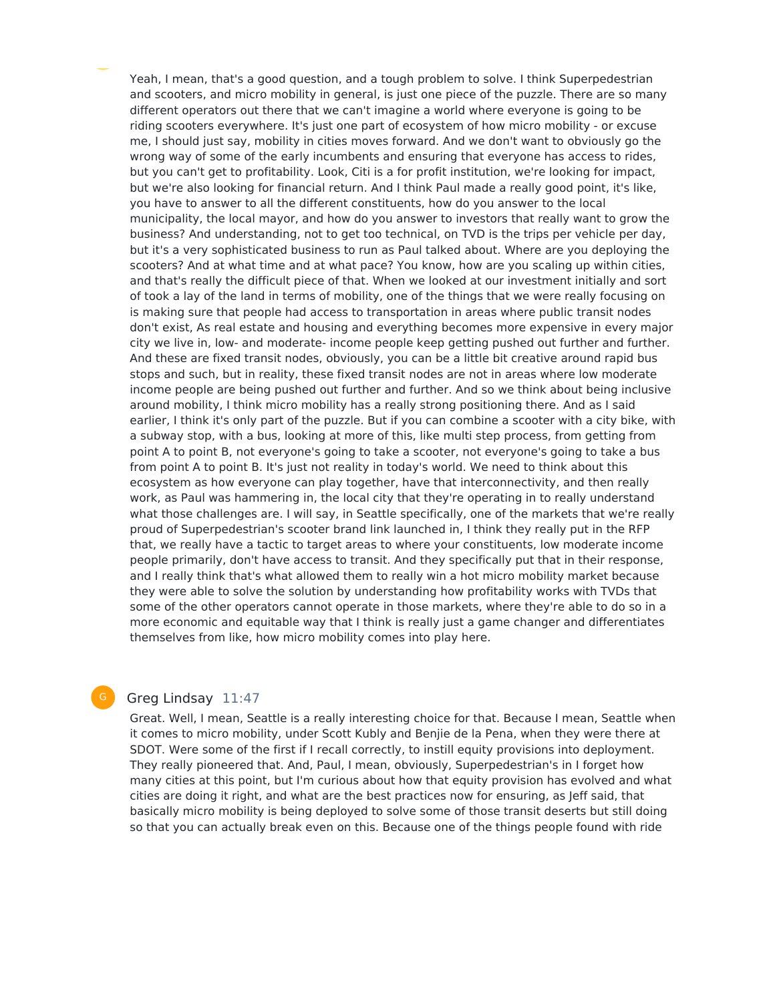Yeah, I mean, that's a good question, and a tough problem to solve. I think Superpedestrian and scooters, and micro mobility in general, is just one piece of the puzzle. There are so many different operators out there that we can't imagine a world where everyone is going to be riding scooters everywhere. It's just one part of ecosystem of how micro mobility - or excuse me, I should just say, mobility in cities moves forward. And we don't want to obviously go the wrong way of some of the early incumbents and ensuring that everyone has access to rides, but you can't get to profitability. Look, Citi is a for profit institution, we're looking for impact, but we're also looking for financial return. And I think Paul made a really good point, it's like, you have to answer to all the different constituents, how do you answer to the local municipality, the local mayor, and how do you answer to investors that really want to grow the business? And understanding, not to get too technical, on TVD is the trips per vehicle per day, but it's a very sophisticated business to run as Paul talked about. Where are you deploying the scooters? And at what time and at what pace? You know, how are you scaling up within cities, and that's really the difficult piece of that. When we looked at our investment initially and sort of took a lay of the land in terms of mobility, one of the things that we were really focusing on is making sure that people had access to transportation in areas where public transit nodes don't exist, As real estate and housing and everything becomes more expensive in every major city we live in, low- and moderate- income people keep getting pushed out further and further. And these are fixed transit nodes, obviously, you can be a little bit creative around rapid bus stops and such, but in reality, these fixed transit nodes are not in areas where low moderate income people are being pushed out further and further. And so we think about being inclusive around mobility, I think micro mobility has a really strong positioning there. And as I said earlier, I think it's only part of the puzzle. But if you can combine a scooter with a city bike, with a subway stop, with a bus, looking at more of this, like multi step process, from getting from point A to point B, not everyone's going to take a scooter, not everyone's going to take a bus from point A to point B. It's just not reality in today's world. We need to think about this ecosystem as how everyone can play together, have that interconnectivity, and then really work, as Paul was hammering in, the local city that they're operating in to really understand what those challenges are. I will say, in Seattle specifically, one of the markets that we're really proud of Superpedestrian's scooter brand link launched in, I think they really put in the RFP that, we really have a tactic to target areas to where your constituents, low moderate income people primarily, don't have access to transit. And they specifically put that in their response, and I really think that's what allowed them to really win a hot micro mobility market because they were able to solve the solution by understanding how profitability works with TVDs that some of the other operators cannot operate in those markets, where they're able to do so in a more economic and equitable way that I think is really just a game changer and differentiates themselves from like, how micro mobility comes into play here.

# Greg Lindsay 11:47

G

Great. Well, I mean, Seattle is a really interesting choice for that. Because I mean, Seattle when it comes to micro mobility, under Scott Kubly and Benjie de la Pena, when they were there at SDOT. Were some of the first if I recall correctly, to instill equity provisions into deployment. They really pioneered that. And, Paul, I mean, obviously, Superpedestrian's in I forget how many cities at this point, but I'm curious about how that equity provision has evolved and what cities are doing it right, and what are the best practices now for ensuring, as Jeff said, that basically micro mobility is being deployed to solve some of those transit deserts but still doing so that you can actually break even on this. Because one of the things people found with ride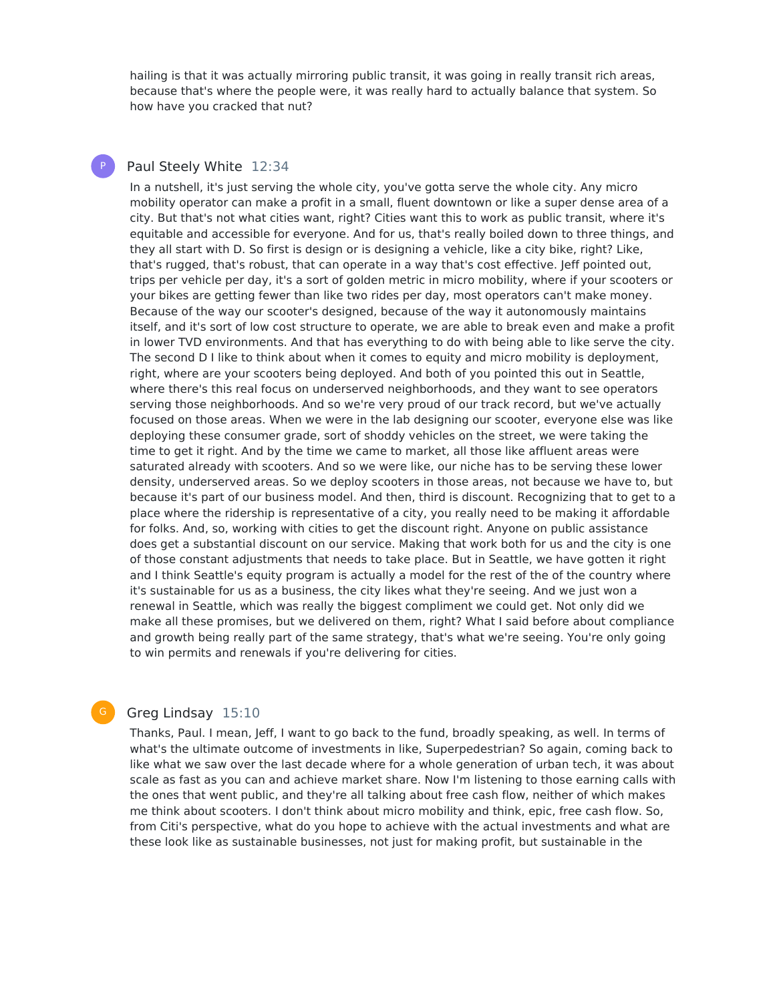hailing is that it was actually mirroring public transit, it was going in really transit rich areas, because that's where the people were, it was really hard to actually balance that system. So how have you cracked that nut?

# Paul Steely White 12:34

P

In a nutshell, it's just serving the whole city, you've gotta serve the whole city. Any micro mobility operator can make a profit in a small, fluent downtown or like a super dense area of a city. But that's not what cities want, right? Cities want this to work as public transit, where it's equitable and accessible for everyone. And for us, that's really boiled down to three things, and they all start with D. So first is design or is designing a vehicle, like a city bike, right? Like, that's rugged, that's robust, that can operate in a way that's cost effective. Jeff pointed out, trips per vehicle per day, it's a sort of golden metric in micro mobility, where if your scooters or your bikes are getting fewer than like two rides per day, most operators can't make money. Because of the way our scooter's designed, because of the way it autonomously maintains itself, and it's sort of low cost structure to operate, we are able to break even and make a profit in lower TVD environments. And that has everything to do with being able to like serve the city. The second D I like to think about when it comes to equity and micro mobility is deployment, right, where are your scooters being deployed. And both of you pointed this out in Seattle, where there's this real focus on underserved neighborhoods, and they want to see operators serving those neighborhoods. And so we're very proud of our track record, but we've actually focused on those areas. When we were in the lab designing our scooter, everyone else was like deploying these consumer grade, sort of shoddy vehicles on the street, we were taking the time to get it right. And by the time we came to market, all those like affluent areas were saturated already with scooters. And so we were like, our niche has to be serving these lower density, underserved areas. So we deploy scooters in those areas, not because we have to, but because it's part of our business model. And then, third is discount. Recognizing that to get to a place where the ridership is representative of a city, you really need to be making it affordable for folks. And, so, working with cities to get the discount right. Anyone on public assistance does get a substantial discount on our service. Making that work both for us and the city is one of those constant adjustments that needs to take place. But in Seattle, we have gotten it right and I think Seattle's equity program is actually a model for the rest of the of the country where it's sustainable for us as a business, the city likes what they're seeing. And we just won a renewal in Seattle, which was really the biggest compliment we could get. Not only did we make all these promises, but we delivered on them, right? What I said before about compliance and growth being really part of the same strategy, that's what we're seeing. You're only going to win permits and renewals if you're delivering for cities.

# Greg Lindsay 15:10

G

Thanks, Paul. I mean, Jeff, I want to go back to the fund, broadly speaking, as well. In terms of what's the ultimate outcome of investments in like, Superpedestrian? So again, coming back to like what we saw over the last decade where for a whole generation of urban tech, it was about scale as fast as you can and achieve market share. Now I'm listening to those earning calls with the ones that went public, and they're all talking about free cash flow, neither of which makes me think about scooters. I don't think about micro mobility and think, epic, free cash flow. So, from Citi's perspective, what do you hope to achieve with the actual investments and what are these look like as sustainable businesses, not just for making profit, but sustainable in the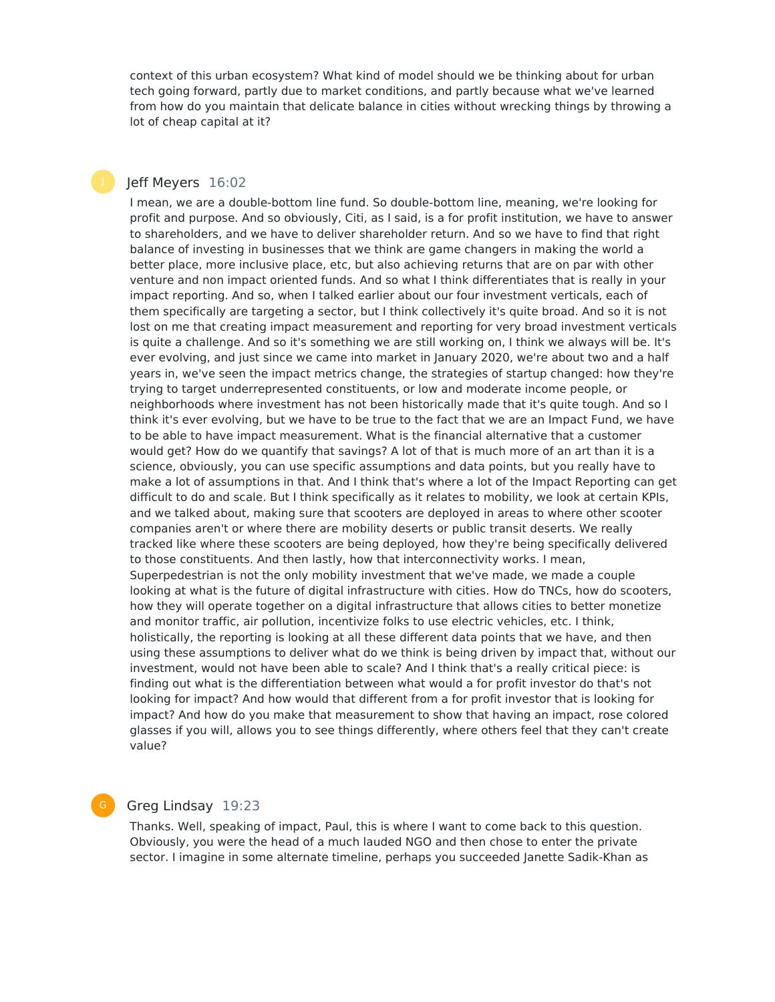context of this urban ecosystem? What kind of model should we be thinking about for urban tech going forward, partly due to market conditions, and partly because what we've learned from how do you maintain that delicate balance in cities without wrecking things by throwing a lot of cheap capital at it?

# Jeff Meyers 16:02

I mean, we are a double-bottom line fund. So double-bottom line, meaning, we're looking for profit and purpose. And so obviously, Citi, as I said, is a for profit institution, we have to answer to shareholders, and we have to deliver shareholder return. And so we have to find that right balance of investing in businesses that we think are game changers in making the world a better place, more inclusive place, etc, but also achieving returns that are on par with other venture and non impact oriented funds. And so what I think differentiates that is really in your impact reporting. And so, when I talked earlier about our four investment verticals, each of them specifically are targeting a sector, but I think collectively it's quite broad. And so it is not lost on me that creating impact measurement and reporting for very broad investment verticals is quite a challenge. And so it's something we are still working on, I think we always will be. It's ever evolving, and just since we came into market in January 2020, we're about two and a half years in, we've seen the impact metrics change, the strategies of startup changed: how they're trying to target underrepresented constituents, or low and moderate income people, or neighborhoods where investment has not been historically made that it's quite tough. And so I think it's ever evolving, but we have to be true to the fact that we are an Impact Fund, we have to be able to have impact measurement. What is the financial alternative that a customer would get? How do we quantify that savings? A lot of that is much more of an art than it is a science, obviously, you can use specific assumptions and data points, but you really have to make a lot of assumptions in that. And I think that's where a lot of the Impact Reporting can get difficult to do and scale. But I think specifically as it relates to mobility, we look at certain KPIs, and we talked about, making sure that scooters are deployed in areas to where other scooter companies aren't or where there are mobility deserts or public transit deserts. We really tracked like where these scooters are being deployed, how they're being specifically delivered to those constituents. And then lastly, how that interconnectivity works. I mean, Superpedestrian is not the only mobility investment that we've made, we made a couple looking at what is the future of digital infrastructure with cities. How do TNCs, how do scooters, how they will operate together on a digital infrastructure that allows cities to better monetize and monitor traffic, air pollution, incentivize folks to use electric vehicles, etc. I think, holistically, the reporting is looking at all these different data points that we have, and then using these assumptions to deliver what do we think is being driven by impact that, without our investment, would not have been able to scale? And I think that's a really critical piece: is finding out what is the differentiation between what would a for profit investor do that's not looking for impact? And how would that different from a for profit investor that is looking for impact? And how do you make that measurement to show that having an impact, rose colored glasses if you will, allows you to see things differently, where others feel that they can't create value?

G

# Greg Lindsay 19:23

Thanks. Well, speaking of impact, Paul, this is where I want to come back to this question. Obviously, you were the head of a much lauded NGO and then chose to enter the private sector. I imagine in some alternate timeline, perhaps you succeeded Janette Sadik-Khan as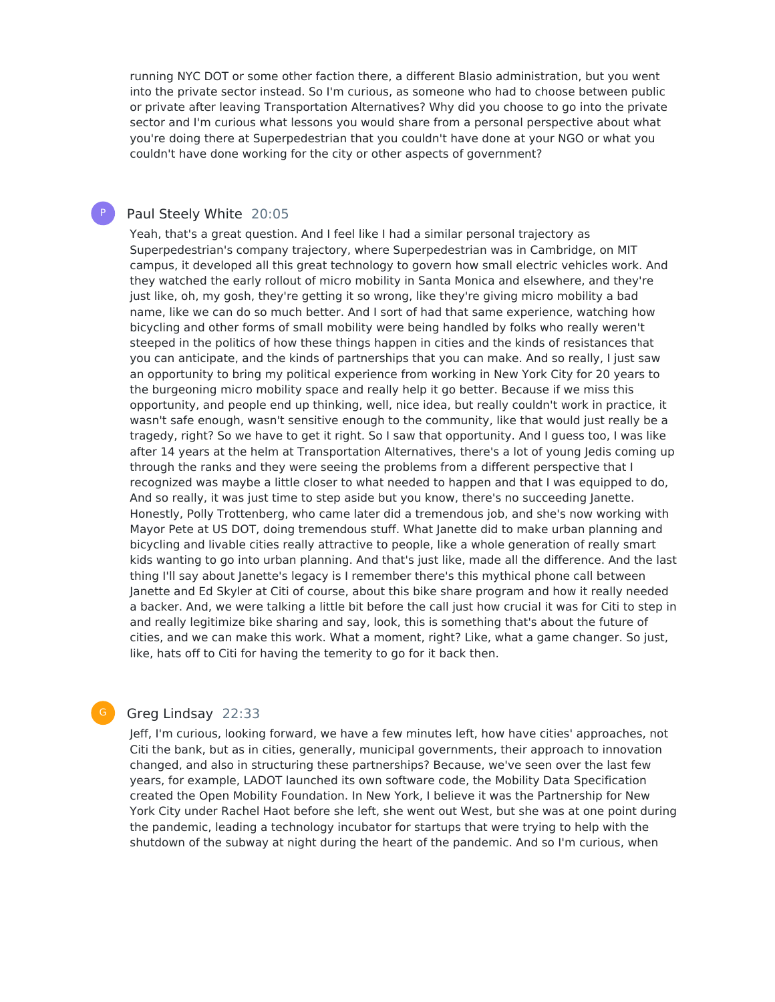running NYC DOT or some other faction there, a different Blasio administration, but you went into the private sector instead. So I'm curious, as someone who had to choose between public or private after leaving Transportation Alternatives? Why did you choose to go into the private sector and I'm curious what lessons you would share from a personal perspective about what you're doing there at Superpedestrian that you couldn't have done at your NGO or what you couldn't have done working for the city or other aspects of government?

#### Paul Steely White 20:05

P

Yeah, that's a great question. And I feel like I had a similar personal trajectory as Superpedestrian's company trajectory, where Superpedestrian was in Cambridge, on MIT campus, it developed all this great technology to govern how small electric vehicles work. And they watched the early rollout of micro mobility in Santa Monica and elsewhere, and they're just like, oh, my gosh, they're getting it so wrong, like they're giving micro mobility a bad name, like we can do so much better. And I sort of had that same experience, watching how bicycling and other forms of small mobility were being handled by folks who really weren't steeped in the politics of how these things happen in cities and the kinds of resistances that you can anticipate, and the kinds of partnerships that you can make. And so really, I just saw an opportunity to bring my political experience from working in New York City for 20 years to the burgeoning micro mobility space and really help it go better. Because if we miss this opportunity, and people end up thinking, well, nice idea, but really couldn't work in practice, it wasn't safe enough, wasn't sensitive enough to the community, like that would just really be a tragedy, right? So we have to get it right. So I saw that opportunity. And I guess too, I was like after 14 years at the helm at Transportation Alternatives, there's a lot of young Jedis coming up through the ranks and they were seeing the problems from a different perspective that I recognized was maybe a little closer to what needed to happen and that I was equipped to do, And so really, it was just time to step aside but you know, there's no succeeding Janette. Honestly, Polly Trottenberg, who came later did a tremendous job, and she's now working with Mayor Pete at US DOT, doing tremendous stuff. What Janette did to make urban planning and bicycling and livable cities really attractive to people, like a whole generation of really smart kids wanting to go into urban planning. And that's just like, made all the difference. And the last thing I'll say about Janette's legacy is I remember there's this mythical phone call between Janette and Ed Skyler at Citi of course, about this bike share program and how it really needed a backer. And, we were talking a little bit before the call just how crucial it was for Citi to step in and really legitimize bike sharing and say, look, this is something that's about the future of cities, and we can make this work. What a moment, right? Like, what a game changer. So just, like, hats off to Citi for having the temerity to go for it back then.

# Greg Lindsay 22:33

Jeff, I'm curious, looking forward, we have a few minutes left, how have cities' approaches, not Citi the bank, but as in cities, generally, municipal governments, their approach to innovation changed, and also in structuring these partnerships? Because, we've seen over the last few years, for example, LADOT launched its own software code, the Mobility Data Specification created the Open Mobility Foundation. In New York, I believe it was the Partnership for New York City under Rachel Haot before she left, she went out West, but she was at one point during the pandemic, leading a technology incubator for startups that were trying to help with the shutdown of the subway at night during the heart of the pandemic. And so I'm curious, when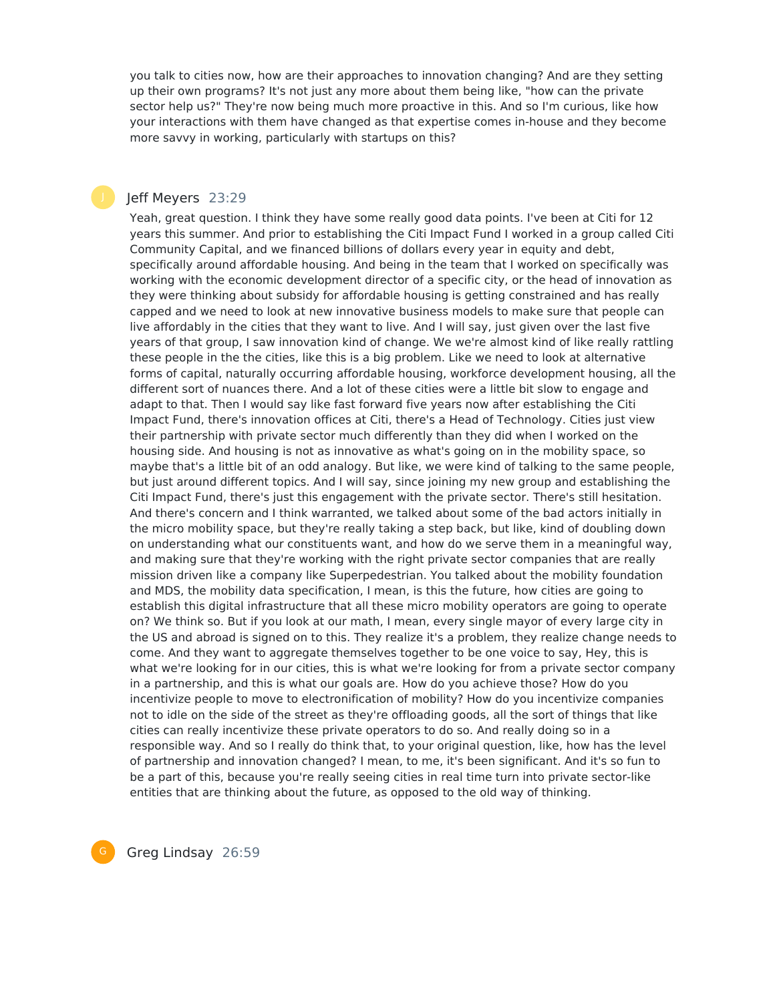you talk to cities now, how are their approaches to innovation changing? And are they setting up their own programs? It's not just any more about them being like, "how can the private sector help us?" They're now being much more proactive in this. And so I'm curious, like how your interactions with them have changed as that expertise comes in-house and they become more savvy in working, particularly with startups on this?

# Jeff Meyers 23:29

Yeah, great question. I think they have some really good data points. I've been at Citi for 12 years this summer. And prior to establishing the Citi Impact Fund I worked in a group called Citi Community Capital, and we financed billions of dollars every year in equity and debt, specifically around affordable housing. And being in the team that I worked on specifically was working with the economic development director of a specific city, or the head of innovation as they were thinking about subsidy for affordable housing is getting constrained and has really capped and we need to look at new innovative business models to make sure that people can live affordably in the cities that they want to live. And I will say, just given over the last five years of that group, I saw innovation kind of change. We we're almost kind of like really rattling these people in the the cities, like this is a big problem. Like we need to look at alternative forms of capital, naturally occurring affordable housing, workforce development housing, all the different sort of nuances there. And a lot of these cities were a little bit slow to engage and adapt to that. Then I would say like fast forward five years now after establishing the Citi Impact Fund, there's innovation offices at Citi, there's a Head of Technology. Cities just view their partnership with private sector much differently than they did when I worked on the housing side. And housing is not as innovative as what's going on in the mobility space, so maybe that's a little bit of an odd analogy. But like, we were kind of talking to the same people, but just around different topics. And I will say, since joining my new group and establishing the Citi Impact Fund, there's just this engagement with the private sector. There's still hesitation. And there's concern and I think warranted, we talked about some of the bad actors initially in the micro mobility space, but they're really taking a step back, but like, kind of doubling down on understanding what our constituents want, and how do we serve them in a meaningful way, and making sure that they're working with the right private sector companies that are really mission driven like a company like Superpedestrian. You talked about the mobility foundation and MDS, the mobility data specification, I mean, is this the future, how cities are going to establish this digital infrastructure that all these micro mobility operators are going to operate on? We think so. But if you look at our math, I mean, every single mayor of every large city in the US and abroad is signed on to this. They realize it's a problem, they realize change needs to come. And they want to aggregate themselves together to be one voice to say, Hey, this is what we're looking for in our cities, this is what we're looking for from a private sector company in a partnership, and this is what our goals are. How do you achieve those? How do you incentivize people to move to electronification of mobility? How do you incentivize companies not to idle on the side of the street as they're offloading goods, all the sort of things that like cities can really incentivize these private operators to do so. And really doing so in a responsible way. And so I really do think that, to your original question, like, how has the level of partnership and innovation changed? I mean, to me, it's been significant. And it's so fun to be a part of this, because you're really seeing cities in real time turn into private sector-like entities that are thinking about the future, as opposed to the old way of thinking.

G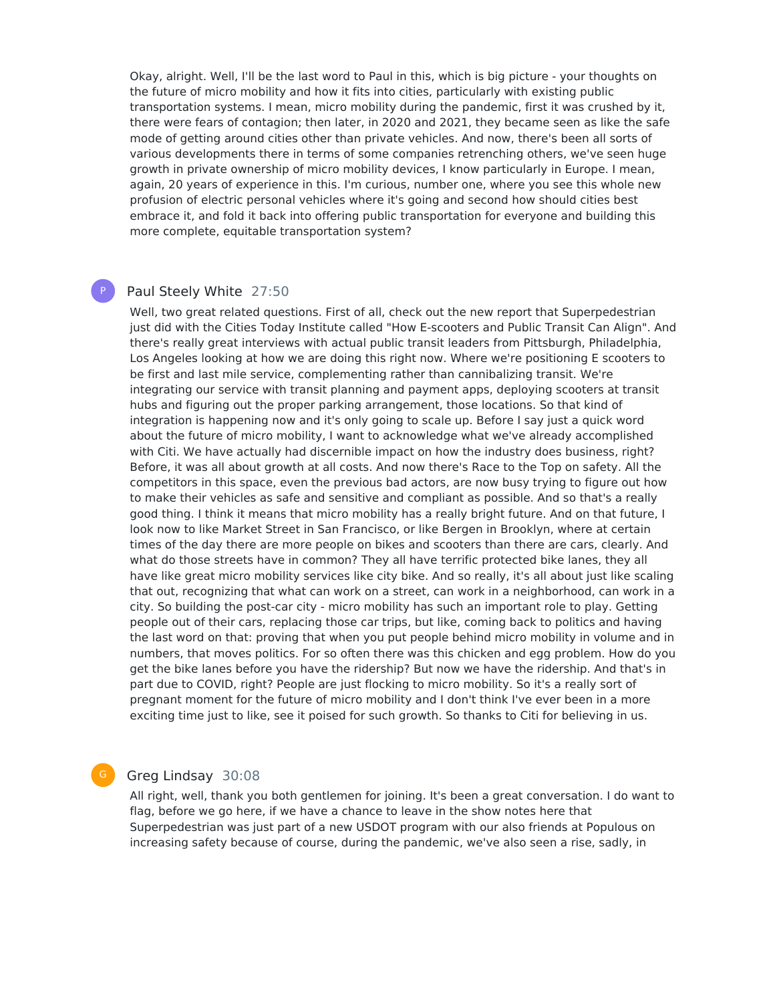Okay, alright. Well, I'll be the last word to Paul in this, which is big picture - your thoughts on the future of micro mobility and how it fits into cities, particularly with existing public transportation systems. I mean, micro mobility during the pandemic, first it was crushed by it, there were fears of contagion; then later, in 2020 and 2021, they became seen as like the safe mode of getting around cities other than private vehicles. And now, there's been all sorts of various developments there in terms of some companies retrenching others, we've seen huge growth in private ownership of micro mobility devices, I know particularly in Europe. I mean, again, 20 years of experience in this. I'm curious, number one, where you see this whole new profusion of electric personal vehicles where it's going and second how should cities best embrace it, and fold it back into offering public transportation for everyone and building this more complete, equitable transportation system?

# P

# Paul Steely White 27:50

Well, two great related questions. First of all, check out the new report that Superpedestrian just did with the Cities Today Institute called "How E-scooters and Public Transit Can Align". And there's really great interviews with actual public transit leaders from Pittsburgh, Philadelphia, Los Angeles looking at how we are doing this right now. Where we're positioning E scooters to be first and last mile service, complementing rather than cannibalizing transit. We're integrating our service with transit planning and payment apps, deploying scooters at transit hubs and figuring out the proper parking arrangement, those locations. So that kind of integration is happening now and it's only going to scale up. Before I say just a quick word about the future of micro mobility, I want to acknowledge what we've already accomplished with Citi. We have actually had discernible impact on how the industry does business, right? Before, it was all about growth at all costs. And now there's Race to the Top on safety. All the competitors in this space, even the previous bad actors, are now busy trying to figure out how to make their vehicles as safe and sensitive and compliant as possible. And so that's a really good thing. I think it means that micro mobility has a really bright future. And on that future, I look now to like Market Street in San Francisco, or like Bergen in Brooklyn, where at certain times of the day there are more people on bikes and scooters than there are cars, clearly. And what do those streets have in common? They all have terrific protected bike lanes, they all have like great micro mobility services like city bike. And so really, it's all about just like scaling that out, recognizing that what can work on a street, can work in a neighborhood, can work in a city. So building the post-car city - micro mobility has such an important role to play. Getting people out of their cars, replacing those car trips, but like, coming back to politics and having the last word on that: proving that when you put people behind micro mobility in volume and in numbers, that moves politics. For so often there was this chicken and egg problem. How do you get the bike lanes before you have the ridership? But now we have the ridership. And that's in part due to COVID, right? People are just flocking to micro mobility. So it's a really sort of pregnant moment for the future of micro mobility and I don't think I've ever been in a more exciting time just to like, see it poised for such growth. So thanks to Citi for believing in us.

# Greg Lindsay 30:08

G

All right, well, thank you both gentlemen for joining. It's been a great conversation. I do want to flag, before we go here, if we have a chance to leave in the show notes here that Superpedestrian was just part of a new USDOT program with our also friends at Populous on increasing safety because of course, during the pandemic, we've also seen a rise, sadly, in